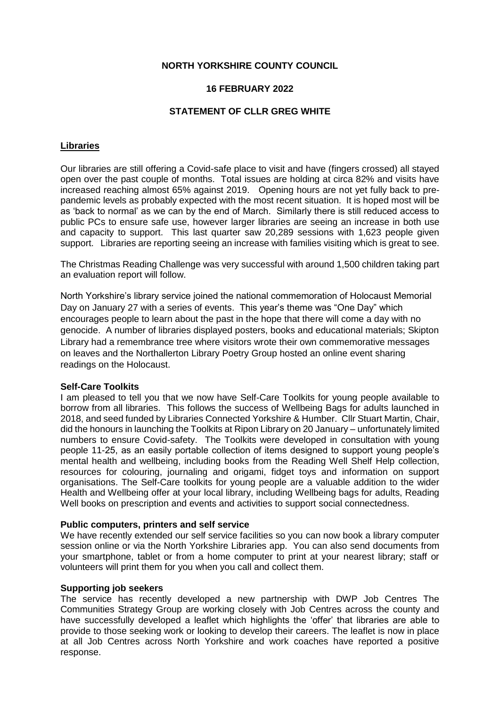## **NORTH YORKSHIRE COUNTY COUNCIL**

## **16 FEBRUARY 2022**

### **STATEMENT OF CLLR GREG WHITE**

### **Libraries**

Our libraries are still offering a Covid-safe place to visit and have (fingers crossed) all stayed open over the past couple of months. Total issues are holding at circa 82% and visits have increased reaching almost 65% against 2019. Opening hours are not yet fully back to prepandemic levels as probably expected with the most recent situation. It is hoped most will be as 'back to normal' as we can by the end of March. Similarly there is still reduced access to public PCs to ensure safe use, however larger libraries are seeing an increase in both use and capacity to support. This last quarter saw 20,289 sessions with 1,623 people given support. Libraries are reporting seeing an increase with families visiting which is great to see.

The Christmas Reading Challenge was very successful with around 1,500 children taking part an evaluation report will follow.

North Yorkshire's library service joined the national commemoration of Holocaust Memorial Day on January 27 with a series of events. This year's theme was "One Day" which encourages people to learn about the past in the hope that there will come a day with no genocide. A number of libraries displayed posters, books and educational materials; Skipton Library had a remembrance tree where visitors wrote their own commemorative messages on leaves and the Northallerton Library Poetry Group hosted an online event sharing readings on the Holocaust.

#### **Self-Care Toolkits**

I am pleased to tell you that we now have Self-Care Toolkits for young people available to borrow from all libraries. This follows the success of Wellbeing Bags for adults launched in 2018, and seed funded by Libraries Connected Yorkshire & Humber. Cllr Stuart Martin, Chair, did the honours in launching the Toolkits at Ripon Library on 20 January – unfortunately limited numbers to ensure Covid-safety. The Toolkits were developed in consultation with young people 11-25, as an easily portable collection of items designed to support young people's mental health and wellbeing, including books from the Reading Well Shelf Help collection, resources for colouring, journaling and origami, fidget toys and information on support organisations. The Self-Care toolkits for young people are a valuable addition to the wider Health and Wellbeing offer at your local library, including Wellbeing bags for adults, Reading Well books on prescription and events and activities to support social connectedness.

#### **Public computers, printers and self service**

We have recently extended our self service facilities so you can now book a library computer session online or via the North Yorkshire Libraries app. You can also send documents from your smartphone, tablet or from a home computer to print at your nearest library; staff or volunteers will print them for you when you call and collect them.

#### **Supporting job seekers**

The service has recently developed a new partnership with DWP Job Centres The Communities Strategy Group are working closely with Job Centres across the county and have successfully developed a leaflet which highlights the 'offer' that libraries are able to provide to those seeking work or looking to develop their careers. The leaflet is now in place at all Job Centres across North Yorkshire and work coaches have reported a positive response.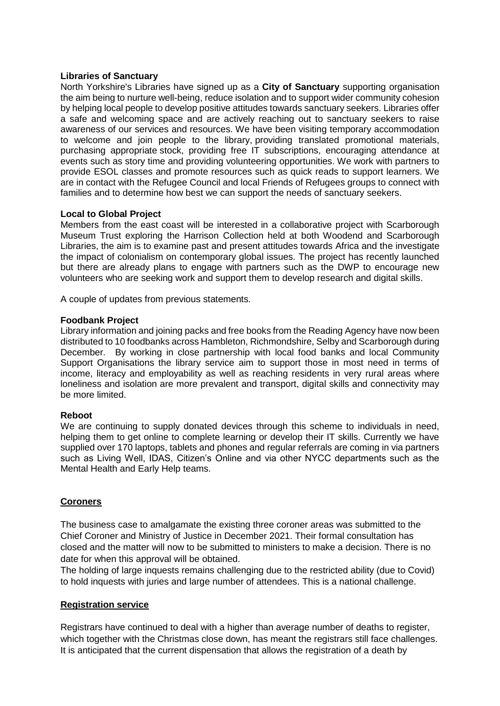### **Libraries of Sanctuary**

North Yorkshire's Libraries have signed up as a **City of Sanctuary** supporting organisation the aim being to nurture well-being, reduce isolation and to support wider community cohesion by helping local people to develop positive attitudes towards sanctuary seekers. Libraries offer a safe and welcoming space and are actively reaching out to sanctuary seekers to raise awareness of our services and resources. We have been visiting temporary accommodation to welcome and join people to the library, providing translated promotional materials, purchasing appropriate stock, providing free IT subscriptions, encouraging attendance at events such as story time and providing volunteering opportunities. We work with partners to provide ESOL classes and promote resources such as quick reads to support learners. We are in contact with the Refugee Council and local Friends of Refugees groups to connect with families and to determine how best we can support the needs of sanctuary seekers.

### **Local to Global Project**

Members from the east coast will be interested in a collaborative project with Scarborough Museum Trust exploring the Harrison Collection held at both Woodend and Scarborough Libraries, the aim is to examine past and present attitudes towards Africa and the investigate the impact of colonialism on contemporary global issues. The project has recently launched but there are already plans to engage with partners such as the DWP to encourage new volunteers who are seeking work and support them to develop research and digital skills.

A couple of updates from previous statements.

### **Foodbank Project**

Library information and joining packs and free books from the Reading Agency have now been distributed to 10 foodbanks across Hambleton, Richmondshire, Selby and Scarborough during December. By working in close partnership with local food banks and local Community Support Organisations the library service aim to support those in most need in terms of income, literacy and employability as well as reaching residents in very rural areas where loneliness and isolation are more prevalent and transport, digital skills and connectivity may be more limited.

#### **Reboot**

We are continuing to supply donated devices through this scheme to individuals in need, helping them to get online to complete learning or develop their IT skills. Currently we have supplied over 170 laptops, tablets and phones and regular referrals are coming in via partners such as Living Well, IDAS, Citizen's Online and via other NYCC departments such as the Mental Health and Early Help teams.

## **Coroners**

The business case to amalgamate the existing three coroner areas was submitted to the Chief Coroner and Ministry of Justice in December 2021. Their formal consultation has closed and the matter will now to be submitted to ministers to make a decision. There is no date for when this approval will be obtained.

The holding of large inquests remains challenging due to the restricted ability (due to Covid) to hold inquests with juries and large number of attendees. This is a national challenge.

### **Registration service**

Registrars have continued to deal with a higher than average number of deaths to register, which together with the Christmas close down, has meant the registrars still face challenges. It is anticipated that the current dispensation that allows the registration of a death by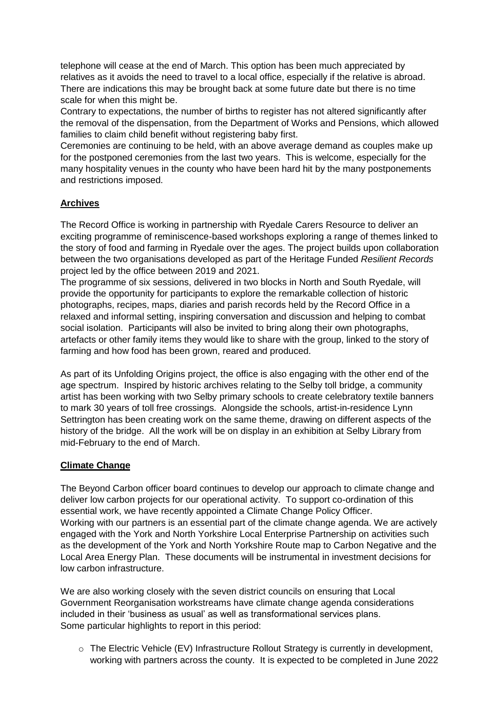telephone will cease at the end of March. This option has been much appreciated by relatives as it avoids the need to travel to a local office, especially if the relative is abroad. There are indications this may be brought back at some future date but there is no time scale for when this might be.

Contrary to expectations, the number of births to register has not altered significantly after the removal of the dispensation, from the Department of Works and Pensions, which allowed families to claim child benefit without registering baby first.

Ceremonies are continuing to be held, with an above average demand as couples make up for the postponed ceremonies from the last two years. This is welcome, especially for the many hospitality venues in the county who have been hard hit by the many postponements and restrictions imposed.

# **Archives**

The Record Office is working in partnership with Ryedale Carers Resource to deliver an exciting programme of reminiscence-based workshops exploring a range of themes linked to the story of food and farming in Ryedale over the ages. The project builds upon collaboration between the two organisations developed as part of the Heritage Funded *Resilient Records* project led by the office between 2019 and 2021.

The programme of six sessions, delivered in two blocks in North and South Ryedale, will provide the opportunity for participants to explore the remarkable collection of historic photographs, recipes, maps, diaries and parish records held by the Record Office in a relaxed and informal setting, inspiring conversation and discussion and helping to combat social isolation. Participants will also be invited to bring along their own photographs, artefacts or other family items they would like to share with the group, linked to the story of farming and how food has been grown, reared and produced.

As part of its Unfolding Origins project, the office is also engaging with the other end of the age spectrum. Inspired by historic archives relating to the Selby toll bridge, a community artist has been working with two Selby primary schools to create celebratory textile banners to mark 30 years of toll free crossings. Alongside the schools, artist-in-residence Lynn Settrington has been creating work on the same theme, drawing on different aspects of the history of the bridge. All the work will be on display in an exhibition at Selby Library from mid-February to the end of March.

## **Climate Change**

The Beyond Carbon officer board continues to develop our approach to climate change and deliver low carbon projects for our operational activity. To support co-ordination of this essential work, we have recently appointed a Climate Change Policy Officer. Working with our partners is an essential part of the climate change agenda. We are actively engaged with the York and North Yorkshire Local Enterprise Partnership on activities such as the development of the York and North Yorkshire Route map to Carbon Negative and the Local Area Energy Plan. These documents will be instrumental in investment decisions for low carbon infrastructure.

We are also working closely with the seven district councils on ensuring that Local Government Reorganisation workstreams have climate change agenda considerations included in their 'business as usual' as well as transformational services plans. Some particular highlights to report in this period:

 $\circ$  The Electric Vehicle (EV) Infrastructure Rollout Strategy is currently in development, working with partners across the county. It is expected to be completed in June 2022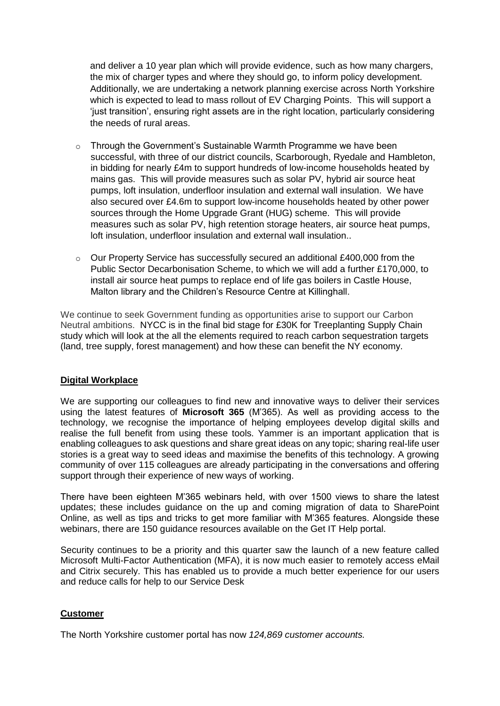and deliver a 10 year plan which will provide evidence, such as how many chargers, the mix of charger types and where they should go, to inform policy development. Additionally, we are undertaking a network planning exercise across North Yorkshire which is expected to lead to mass rollout of EV Charging Points. This will support a 'just transition', ensuring right assets are in the right location, particularly considering the needs of rural areas.

- $\circ$  Through the Government's Sustainable Warmth Programme we have been successful, with three of our district councils, Scarborough, Ryedale and Hambleton, in bidding for nearly £4m to support hundreds of low-income households heated by mains gas. This will provide measures such as solar PV, hybrid air source heat pumps, loft insulation, underfloor insulation and external wall insulation. We have also secured over £4.6m to support low-income households heated by other power sources through the Home Upgrade Grant (HUG) scheme. This will provide measures such as solar PV, high retention storage heaters, air source heat pumps, loft insulation, underfloor insulation and external wall insulation..
- $\circ$  Our Property Service has successfully secured an additional £400,000 from the Public Sector Decarbonisation Scheme, to which we will add a further £170,000, to install air source heat pumps to replace end of life gas boilers in Castle House, Malton library and the Children's Resource Centre at Killinghall.

We continue to seek Government funding as opportunities arise to support our Carbon Neutral ambitions. NYCC is in the final bid stage for £30K for Treeplanting Supply Chain study which will look at the all the elements required to reach carbon sequestration targets (land, tree supply, forest management) and how these can benefit the NY economy.

## **Digital Workplace**

We are supporting our colleagues to find new and innovative ways to deliver their services using the latest features of **Microsoft 365** (M'365). As well as providing access to the technology, we recognise the importance of helping employees develop digital skills and realise the full benefit from using these tools. Yammer is an important application that is enabling colleagues to ask questions and share great ideas on any topic; sharing real-life user stories is a great way to seed ideas and maximise the benefits of this technology. A growing community of over 115 colleagues are already participating in the conversations and offering support through their experience of new ways of working.

There have been eighteen M'365 webinars held, with over 1500 views to share the latest updates; these includes guidance on the up and coming migration of data to SharePoint Online, as well as tips and tricks to get more familiar with M'365 features. Alongside these webinars, there are 150 guidance resources available on the Get IT Help portal.

Security continues to be a priority and this quarter saw the launch of a new feature called Microsoft Multi-Factor Authentication (MFA), it is now much easier to remotely access eMail and Citrix securely. This has enabled us to provide a much better experience for our users and reduce calls for help to our Service Desk

#### **Customer**

The North Yorkshire customer portal has now *124,869 customer accounts.*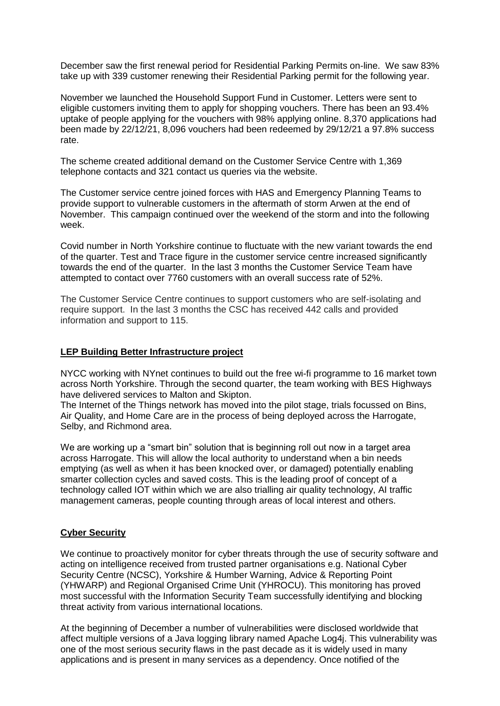December saw the first renewal period for Residential Parking Permits on-line. We saw 83% take up with 339 customer renewing their Residential Parking permit for the following year.

November we launched the Household Support Fund in Customer. Letters were sent to eligible customers inviting them to apply for shopping vouchers. There has been an 93.4% uptake of people applying for the vouchers with 98% applying online. 8,370 applications had been made by 22/12/21, 8,096 vouchers had been redeemed by 29/12/21 a 97.8% success rate.

The scheme created additional demand on the Customer Service Centre with 1,369 telephone contacts and 321 contact us queries via the website.

The Customer service centre joined forces with HAS and Emergency Planning Teams to provide support to vulnerable customers in the aftermath of storm Arwen at the end of November. This campaign continued over the weekend of the storm and into the following week.

Covid number in North Yorkshire continue to fluctuate with the new variant towards the end of the quarter. Test and Trace figure in the customer service centre increased significantly towards the end of the quarter. In the last 3 months the Customer Service Team have attempted to contact over 7760 customers with an overall success rate of 52%.

The Customer Service Centre continues to support customers who are self-isolating and require support. In the last 3 months the CSC has received 442 calls and provided information and support to 115.

### **LEP Building Better Infrastructure project**

NYCC working with NYnet continues to build out the free wi-fi programme to 16 market town across North Yorkshire. Through the second quarter, the team working with BES Highways have delivered services to Malton and Skipton.

The Internet of the Things network has moved into the pilot stage, trials focussed on Bins, Air Quality, and Home Care are in the process of being deployed across the Harrogate, Selby, and Richmond area.

We are working up a "smart bin" solution that is beginning roll out now in a target area across Harrogate. This will allow the local authority to understand when a bin needs emptying (as well as when it has been knocked over, or damaged) potentially enabling smarter collection cycles and saved costs. This is the leading proof of concept of a technology called IOT within which we are also trialling air quality technology, AI traffic management cameras, people counting through areas of local interest and others.

## **Cyber Security**

We continue to proactively monitor for cyber threats through the use of security software and acting on intelligence received from trusted partner organisations e.g. National Cyber Security Centre (NCSC), Yorkshire & Humber Warning, Advice & Reporting Point (YHWARP) and Regional Organised Crime Unit (YHROCU). This monitoring has proved most successful with the Information Security Team successfully identifying and blocking threat activity from various international locations.

At the beginning of December a number of vulnerabilities were disclosed worldwide that affect multiple versions of a Java logging library named Apache Log4j. This vulnerability was one of the most serious security flaws in the past decade as it is widely used in many applications and is present in many services as a dependency. Once notified of the